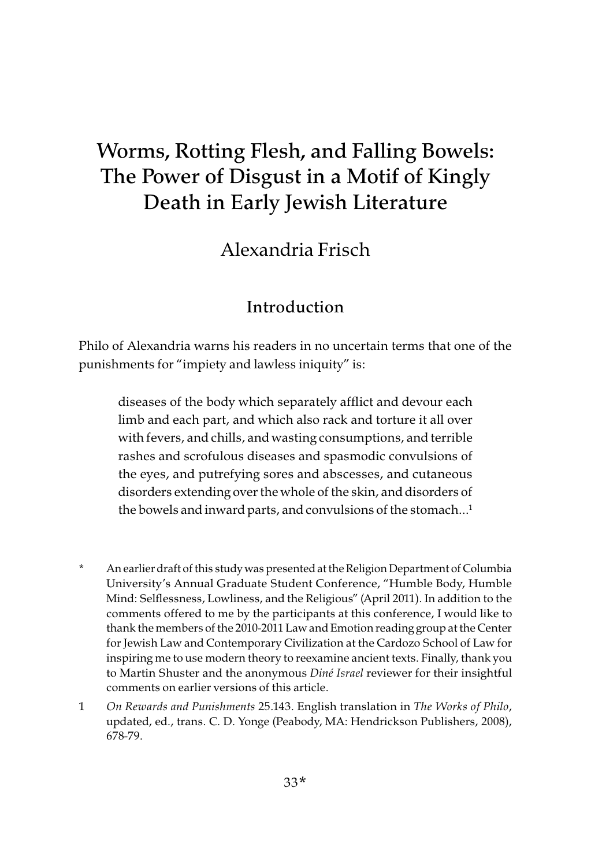# Worms, Rotting Flesh, and Falling Bowels: The Power of Disgust in a Motif of Kingly Death in Early Jewish Literature

Alexandria Frisch

# Introduction

Philo of Alexandria warns his readers in no uncertain terms that one of the punishments for "impiety and lawless iniquity" is:

diseases of the body which separately afflict and devour each limb and each part, and which also rack and torture it all over with fevers, and chills, and wasting consumptions, and terrible rashes and scrofulous diseases and spasmodic convulsions of the eyes, and putrefying sores and abscesses, and cutaneous disorders extending over the whole of the skin, and disorders of the bowels and inward parts, and convulsions of the stomach... $<sup>1</sup>$ </sup>

- \* An earlier draft of this study was presented at the Religion Department of Columbia University's Annual Graduate Student Conference, "Humble Body, Humble Mind: Selflessness, Lowliness, and the Religious" (April 2011). In addition to the comments offered to me by the participants at this conference, I would like to thank the members of the 2010-2011 Law and Emotion reading group at the Center for Jewish Law and Contemporary Civilization at the Cardozo School of Law for inspiring me to use modern theory to reexamine ancient texts. Finally, thank you to Martin Shuster and the anonymous Diné Israel reviewer for their insightful comments on earlier versions of this article.
- 1 On Rewards and Punishments 25.143. English translation in The Works of Philo, updated, ed., trans. C. D. Yonge (Peabody, MA: Hendrickson Publishers, 2008), 678-79.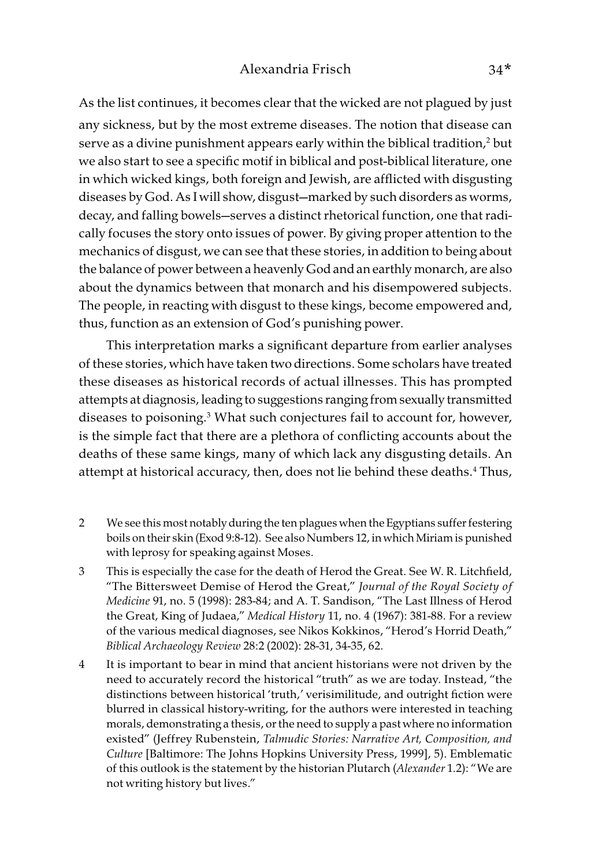As the list continues, it becomes clear that the wicked are not plagued by just any sickness, but by the most extreme diseases. The notion that disease can serve as a divine punishment appears early within the biblical tradition, $^2$  but we also start to see a specific motif in biblical and post-biblical literature, one in which wicked kings, both foreign and Jewish, are afflicted with disgusting diseases by God. As I will show, disgust—marked by such disorders as worms, decay, and falling bowels—serves a distinct rhetorical function, one that radically focuses the story onto issues of power. By giving proper attention to the mechanics of disgust, we can see that these stories, in addition to being about the balance of power between a heavenly God and an earthly monarch, are also about the dynamics between that monarch and his disempowered subjects. The people, in reacting with disgust to these kings, become empowered and, thus, function as an extension of God's punishing power.

This interpretation marks a significant departure from earlier analyses of these stories, which have taken two directions. Some scholars have treated these diseases as historical records of actual illnesses. This has prompted attempts at diagnosis, leading to suggestions ranging from sexually transmitted diseases to poisoning.3 What such conjectures fail to account for, however, is the simple fact that there are a plethora of conflicting accounts about the deaths of these same kings, many of which lack any disgusting details. An attempt at historical accuracy, then, does not lie behind these deaths.4 Thus,

- 2 We see this most notably during the ten plagues when the Egyptians suffer festering boils on their skin (Exod 9:8-12). See also Numbers 12, in which Miriam is punished with leprosy for speaking against Moses.
- 3 This is especially the case for the death of Herod the Great. See W. R. Litchfield, "The Bittersweet Demise of Herod the Great," Journal of the Royal Society of Medicine 91, no. 5 (1998): 283-84; and A. T. Sandison, "The Last Illness of Herod the Great, King of Judaea," Medical History 11, no. 4 (1967): 381-88. For a review of the various medical diagnoses, see Nikos Kokkinos, "Herod's Horrid Death," Biblical Archaeology Review 28:2 (2002): 28-31, 34-35, 62.
- 4 It is important to bear in mind that ancient historians were not driven by the need to accurately record the historical "truth" as we are today. Instead, "the distinctions between historical 'truth,' verisimilitude, and outright fiction were blurred in classical history-writing, for the authors were interested in teaching morals, demonstrating a thesis, or the need to supply a past where no information existed" (Jeffrey Rubenstein, Talmudic Stories: Narrative Art, Composition, and Culture [Baltimore: The Johns Hopkins University Press, 1999], 5). Emblematic of this outlook is the statement by the historian Plutarch (Alexander 1.2): "We are not writing history but lives."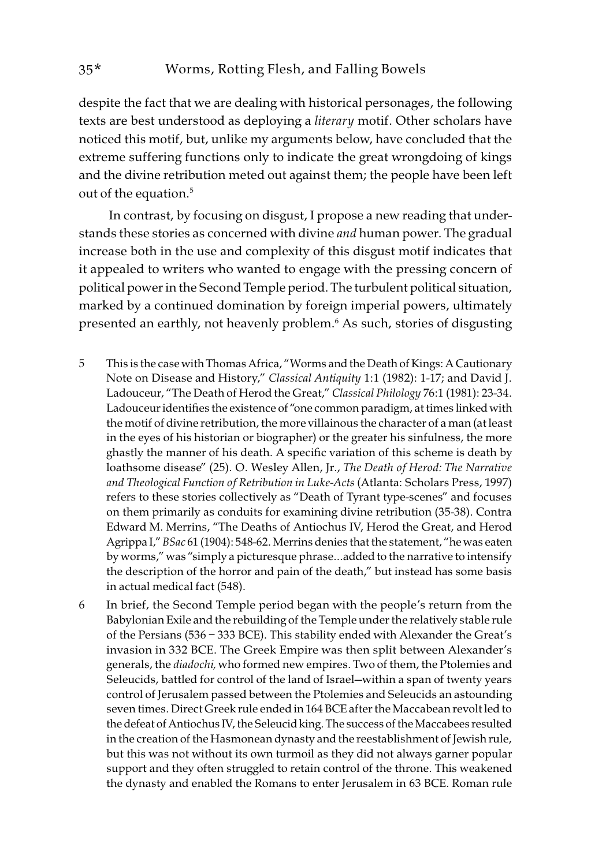despite the fact that we are dealing with historical personages, the following texts are best understood as deploying a literary motif. Other scholars have noticed this motif, but, unlike my arguments below, have concluded that the extreme suffering functions only to indicate the great wrongdoing of kings and the divine retribution meted out against them; the people have been left out of the equation.<sup>5</sup>

 In contrast, by focusing on disgust, I propose a new reading that understands these stories as concerned with divine *and* human power. The gradual increase both in the use and complexity of this disgust motif indicates that it appealed to writers who wanted to engage with the pressing concern of political power in the Second Temple period. The turbulent political situation, marked by a continued domination by foreign imperial powers, ultimately presented an earthly, not heavenly problem.6 As such, stories of disgusting

- 5 This is the case with Thomas Africa, "Worms and the Death of Kings: A Cautionary Note on Disease and History," Classical Antiquity 1:1 (1982): 1-17; and David J. Ladouceur, "The Death of Herod the Great," Classical Philology 76:1 (1981): 23-34. Ladouceur identifies the existence of "one common paradigm, at times linked with the motif of divine retribution, the more villainous the character of a man (at least in the eyes of his historian or biographer) or the greater his sinfulness, the more ghastly the manner of his death. A specific variation of this scheme is death by loathsome disease" (25). O. Wesley Allen, Jr., The Death of Herod: The Narrative and Theological Function of Retribution in Luke-Acts (Atlanta: Scholars Press, 1997) refers to these stories collectively as "Death of Tyrant type-scenes" and focuses on them primarily as conduits for examining divine retribution (35-38). Contra Edward M. Merrins, "The Deaths of Antiochus IV, Herod the Great, and Herod Agrippa I," BSac 61 (1904): 548-62. Merrins denies that the statement, "he was eaten by worms," was "simply a picturesque phrase…added to the narrative to intensify the description of the horror and pain of the death," but instead has some basis in actual medical fact (548).
- 6 In brief, the Second Temple period began with the people's return from the Babylonian Exile and the rebuilding of the Temple under the relatively stable rule of the Persians (536 – 333 BCE). This stability ended with Alexander the Great's invasion in 332 BCE. The Greek Empire was then split between Alexander's generals, the diadochi, who formed new empires. Two of them, the Ptolemies and Seleucids, battled for control of the land of Israel—within a span of twenty years control of Jerusalem passed between the Ptolemies and Seleucids an astounding seven times. Direct Greek rule ended in 164 BCE after the Maccabean revolt led to the defeat of Antiochus IV, the Seleucid king. The success of the Maccabees resulted in the creation of the Hasmonean dynasty and the reestablishment of Jewish rule, but this was not without its own turmoil as they did not always garner popular support and they often struggled to retain control of the throne. This weakened the dynasty and enabled the Romans to enter Jerusalem in 63 BCE. Roman rule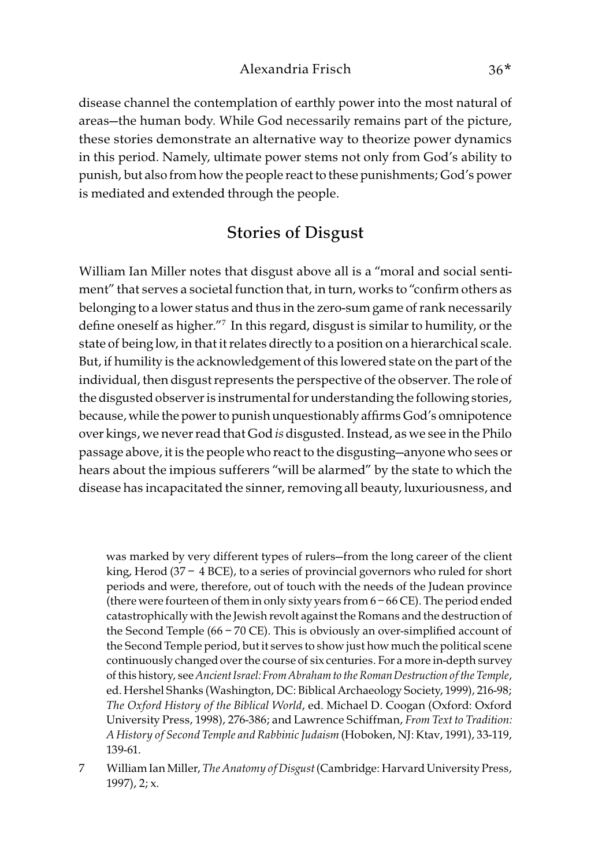disease channel the contemplation of earthly power into the most natural of areas—the human body. While God necessarily remains part of the picture, these stories demonstrate an alternative way to theorize power dynamics in this period. Namely, ultimate power stems not only from God's ability to punish, but also from how the people react to these punishments; God's power is mediated and extended through the people.

# Stories of Disgust

William Ian Miller notes that disgust above all is a "moral and social sentiment" that serves a societal function that, in turn, works to "confirm others as belonging to a lower status and thus in the zero-sum game of rank necessarily define oneself as higher."7 In this regard, disgust is similar to humility, or the state of being low, in that it relates directly to a position on a hierarchical scale. But, if humility is the acknowledgement of this lowered state on the part of the individual, then disgust represents the perspective of the observer. The role of the disgusted observer is instrumental for understanding the following stories, because, while the power to punish unquestionably affirms God's omnipotence over kings, we never read that God is disgusted. Instead, as we see in the Philo passage above, it is the people who react to the disgusting—anyone who sees or hears about the impious sufferers "will be alarmed" by the state to which the disease has incapacitated the sinner, removing all beauty, luxuriousness, and

was marked by very different types of rulers—from the long career of the client king, Herod (37 – 4 BCE), to a series of provincial governors who ruled for short periods and were, therefore, out of touch with the needs of the Judean province (there were fourteen of them in only sixty years from  $6 - 66$  CE). The period ended catastrophically with the Jewish revolt against the Romans and the destruction of the Second Temple (66 – 70 CE). This is obviously an over-simplified account of the Second Temple period, but it serves to show just how much the political scene continuously changed over the course of six centuries. For a more in-depth survey of this history, see Ancient Israel: From Abraham to the Roman Destruction of the Temple, ed. Hershel Shanks (Washington, DC: Biblical Archaeology Society, 1999), 216-98; The Oxford History of the Biblical World, ed. Michael D. Coogan (Oxford: Oxford University Press, 1998), 276-386; and Lawrence Schiffman, From Text to Tradition: A History of Second Temple and Rabbinic Judaism (Hoboken, NJ: Ktav, 1991), 33-119, 139-61.

7 William Ian Miller, The Anatomy of Disgust (Cambridge: Harvard University Press, 1997), 2; x.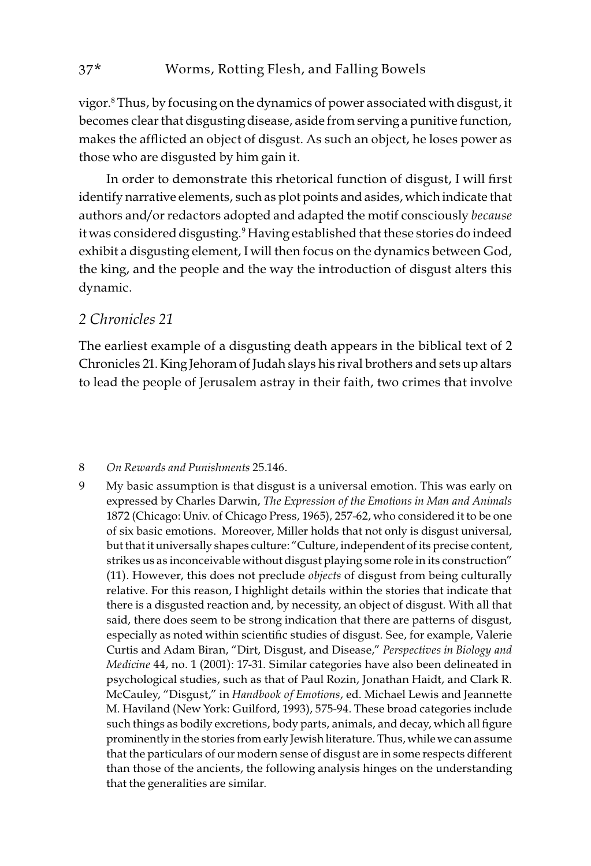vigor.8 Thus, by focusing on the dynamics of power associated with disgust, it becomes clear that disgusting disease, aside from serving a punitive function, makes the afflicted an object of disgust. As such an object, he loses power as those who are disgusted by him gain it.

In order to demonstrate this rhetorical function of disgust, I will first identify narrative elements, such as plot points and asides, which indicate that authors and/or redactors adopted and adapted the motif consciously because it was considered disgusting.9 Having established that these stories do indeed exhibit a disgusting element, I will then focus on the dynamics between God, the king, and the people and the way the introduction of disgust alters this dynamic.

#### 2 Chronicles 21

The earliest example of a disgusting death appears in the biblical text of 2 Chronicles 21. King Jehoram of Judah slays his rival brothers and sets up altars to lead the people of Jerusalem astray in their faith, two crimes that involve

#### 8 On Rewards and Punishments 25.146.

9 My basic assumption is that disgust is a universal emotion. This was early on expressed by Charles Darwin, The Expression of the Emotions in Man and Animals 1872 (Chicago: Univ. of Chicago Press, 1965), 257-62, who considered it to be one of six basic emotions. Moreover, Miller holds that not only is disgust universal, but that it universally shapes culture: "Culture, independent of its precise content, strikes us as inconceivable without disgust playing some role in its construction" (11). However, this does not preclude objects of disgust from being culturally relative. For this reason, I highlight details within the stories that indicate that there is a disgusted reaction and, by necessity, an object of disgust. With all that said, there does seem to be strong indication that there are patterns of disgust, especially as noted within scientific studies of disgust. See, for example, Valerie Curtis and Adam Biran, "Dirt, Disgust, and Disease," Perspectives in Biology and Medicine 44, no. 1 (2001): 17-31. Similar categories have also been delineated in psychological studies, such as that of Paul Rozin, Jonathan Haidt, and Clark R. McCauley, "Disgust," in Handbook of Emotions, ed. Michael Lewis and Jeannette M. Haviland (New York: Guilford, 1993), 575-94. These broad categories include such things as bodily excretions, body parts, animals, and decay, which all figure prominently in the stories from early Jewish literature. Thus, while we can assume that the particulars of our modern sense of disgust are in some respects different than those of the ancients, the following analysis hinges on the understanding that the generalities are similar.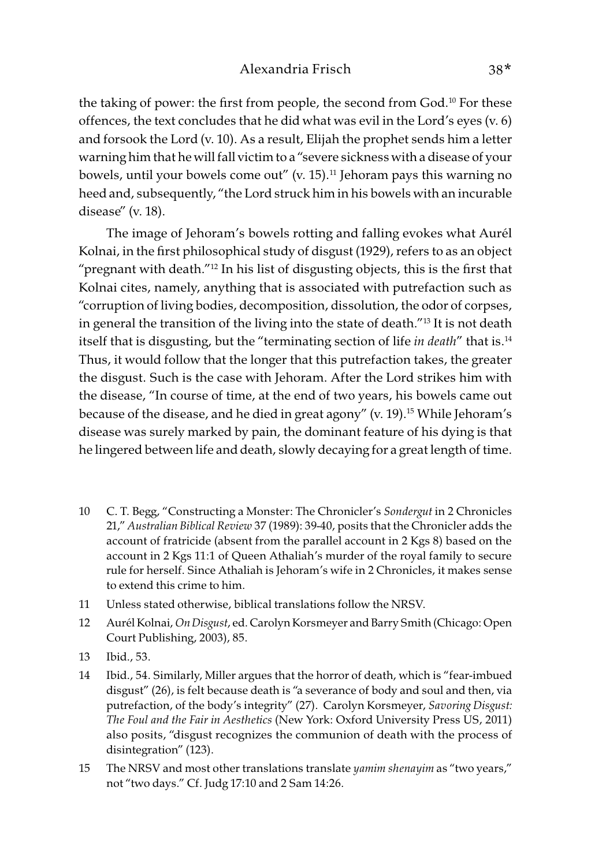the taking of power: the first from people, the second from God.<sup>10</sup> For these offences, the text concludes that he did what was evil in the Lord's eyes (v. 6) and forsook the Lord (v. 10). As a result, Elijah the prophet sends him a letter warning him that he will fall victim to a "severe sickness with a disease of your bowels, until your bowels come out"  $(v. 15)^{11}$  Jehoram pays this warning no heed and, subsequently, "the Lord struck him in his bowels with an incurable disease" (v. 18).

The image of Jehoram's bowels rotting and falling evokes what Aurél Kolnai, in the first philosophical study of disgust (1929), refers to as an object "pregnant with death."12 In his list of disgusting objects, this is the first that Kolnai cites, namely, anything that is associated with putrefaction such as "corruption of living bodies, decomposition, dissolution, the odor of corpses, in general the transition of the living into the state of death."13 It is not death itself that is disgusting, but the "terminating section of life in death" that is.<sup>14</sup> Thus, it would follow that the longer that this putrefaction takes, the greater the disgust. Such is the case with Jehoram. After the Lord strikes him with the disease, "In course of time, at the end of two years, his bowels came out because of the disease, and he died in great agony" (v. 19).<sup>15</sup> While Jehoram's disease was surely marked by pain, the dominant feature of his dying is that he lingered between life and death, slowly decaying for a great length of time.

- 10 C. T. Begg, "Constructing a Monster: The Chronicler's Sondergut in 2 Chronicles 21," Australian Biblical Review 37 (1989): 39-40, posits that the Chronicler adds the account of fratricide (absent from the parallel account in 2 Kgs 8) based on the account in 2 Kgs 11:1 of Queen Athaliah's murder of the royal family to secure rule for herself. Since Athaliah is Jehoram's wife in 2 Chronicles, it makes sense to extend this crime to him.
- 11 Unless stated otherwise, biblical translations follow the NRSV.
- 12 Aurél Kolnai, On Disgust, ed. Carolyn Korsmeyer and Barry Smith (Chicago: Open Court Publishing, 2003), 85.
- 13 Ibid., 53.
- 14 Ibid., 54. Similarly, Miller argues that the horror of death, which is "fear-imbued disgust" (26), is felt because death is "a severance of body and soul and then, via putrefaction, of the body's integrity" (27). Carolyn Korsmeyer, Savoring Disgust: The Foul and the Fair in Aesthetics (New York: Oxford University Press US, 2011) also posits, "disgust recognizes the communion of death with the process of disintegration" (123).
- 15 The NRSV and most other translations translate yamim shenayim as "two years," not "two days." Cf. Judg 17:10 and 2 Sam 14:26.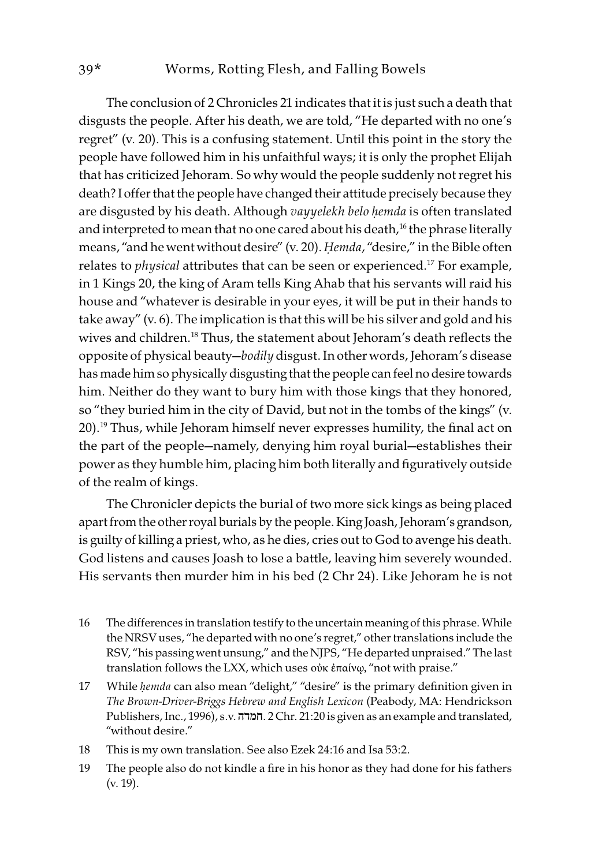The conclusion of 2 Chronicles 21 indicates that it is just such a death that disgusts the people. After his death, we are told, "He departed with no one's regret" (v. 20). This is a confusing statement. Until this point in the story the people have followed him in his unfaithful ways; it is only the prophet Elijah that has criticized Jehoram. So why would the people suddenly not regret his death? I offer that the people have changed their attitude precisely because they are disgusted by his death. Although vayyelekh belo *ḥ*emda is often translated and interpreted to mean that no one cared about his death,<sup>16</sup> the phrase literally means, "and he went without desire" (v. 20). *Hemda*, "desire," in the Bible often relates to *physical* attributes that can be seen or experienced.<sup>17</sup> For example, in 1 Kings 20, the king of Aram tells King Ahab that his servants will raid his house and "whatever is desirable in your eyes, it will be put in their hands to take away" (v. 6). The implication is that this will be his silver and gold and his wives and children.<sup>18</sup> Thus, the statement about Jehoram's death reflects the opposite of physical beauty—bodily disgust. In other words, Jehoram's disease has made him so physically disgusting that the people can feel no desire towards him. Neither do they want to bury him with those kings that they honored, so "they buried him in the city of David, but not in the tombs of the kings" (v. 20).19 Thus, while Jehoram himself never expresses humility, the final act on the part of the people—namely, denying him royal burial—establishes their power as they humble him, placing him both literally and figuratively outside of the realm of kings.

The Chronicler depicts the burial of two more sick kings as being placed apart from the other royal burials by the people. King Joash, Jehoram's grandson, is guilty of killing a priest, who, as he dies, cries out to God to avenge his death. God listens and causes Joash to lose a battle, leaving him severely wounded. His servants then murder him in his bed (2 Chr 24). Like Jehoram he is not

- 16 The differences in translation testify to the uncertain meaning of this phrase. While the NRSV uses, "he departed with no one's regret," other translations include the RSV, "his passing went unsung," and the NJPS, "He departed unpraised." The last translation follows the LXX, which uses οὐκ ἐπαίνῳ, "not with praise."
- 17 While *ḥ*emda can also mean "delight," "desire" is the primary definition given in The Brown-Driver-Briggs Hebrew and English Lexicon (Peabody, MA: Hendrickson Publishers, Inc., 1996), s.v. חמדה. 2 Chr. 21:20 is given as an example and translated, "without desire."
- 18 This is my own translation. See also Ezek 24:16 and Isa 53:2.
- 19 The people also do not kindle a fire in his honor as they had done for his fathers (v. 19).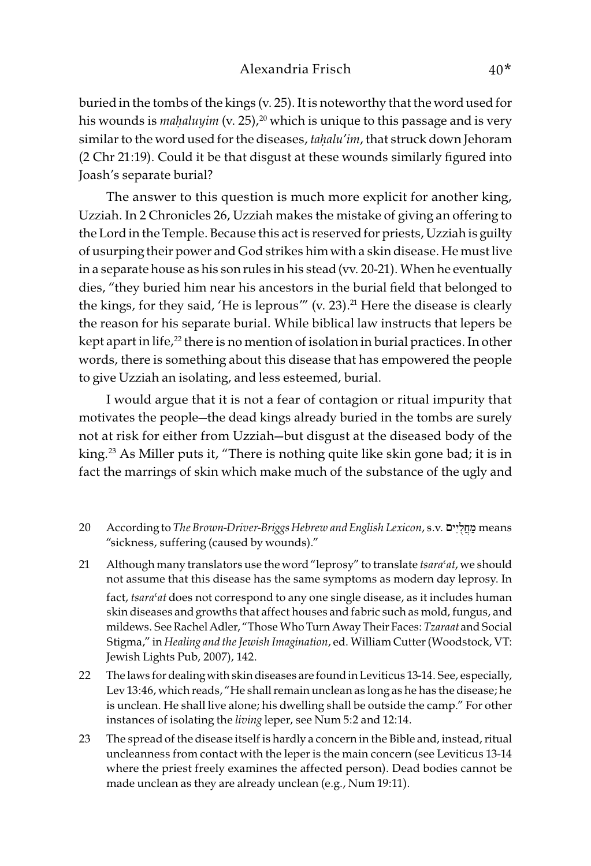buried in the tombs of the kings (v. 25). It is noteworthy that the word used for his wounds is *mahaluyim* (v. 25),<sup>20</sup> which is unique to this passage and is very similar to the word used for the diseases, ta*ḥ*alu'im, that struck down Jehoram (2 Chr 21:19). Could it be that disgust at these wounds similarly figured into Joash's separate burial?

The answer to this question is much more explicit for another king, Uzziah. In 2 Chronicles 26, Uzziah makes the mistake of giving an offering to the Lord in the Temple. Because this act is reserved for priests, Uzziah is guilty of usurping their power and God strikes him with a skin disease. He must live in a separate house as his son rules in his stead (vv. 20-21). When he eventually dies, "they buried him near his ancestors in the burial field that belonged to the kings, for they said, 'He is leprous'" (v. 23).<sup>21</sup> Here the disease is clearly the reason for his separate burial. While biblical law instructs that lepers be kept apart in life,<sup>22</sup> there is no mention of isolation in burial practices. In other words, there is something about this disease that has empowered the people to give Uzziah an isolating, and less esteemed, burial.

I would argue that it is not a fear of contagion or ritual impurity that motivates the people—the dead kings already buried in the tombs are surely not at risk for either from Uzziah—but disgust at the diseased body of the king.23 As Miller puts it, "There is nothing quite like skin gone bad; it is in fact the marrings of skin which make much of the substance of the ugly and

- 20 According to The Brown-Driver-Briggs Hebrew and English Lexicon, s.v. ים ִי ֻל ֲח ַמ means "sickness, suffering (caused by wounds)."
- 21 Although many translators use the word "leprosy" to translate  $tsara<sup>c</sup>at$ , we should not assume that this disease has the same symptoms as modern day leprosy. In fact, tsara' at does not correspond to any one single disease, as it includes human skin diseases and growths that affect houses and fabric such as mold, fungus, and mildews. See Rachel Adler, "Those Who Turn Away Their Faces: Tzaraat and Social Stigma," in Healing and the Jewish Imagination, ed. William Cutter (Woodstock, VT: Jewish Lights Pub, 2007), 142.
- 22 The laws for dealing with skin diseases are found in Leviticus 13-14. See, especially, Lev 13:46, which reads, "He shall remain unclean as long as he has the disease; he is unclean. He shall live alone; his dwelling shall be outside the camp." For other instances of isolating the living leper, see Num 5:2 and 12:14.
- 23 The spread of the disease itself is hardly a concern in the Bible and, instead, ritual uncleanness from contact with the leper is the main concern (see Leviticus 13-14 where the priest freely examines the affected person). Dead bodies cannot be made unclean as they are already unclean (e.g., Num 19:11).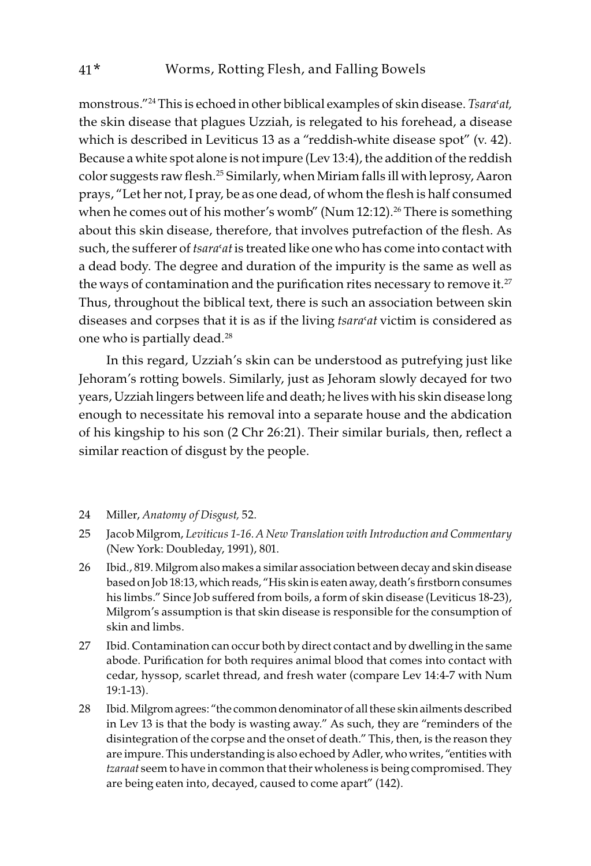monstrous."<sup>24</sup> This is echoed in other biblical examples of skin disease. Tsara'at, the skin disease that plagues Uzziah, is relegated to his forehead, a disease which is described in Leviticus 13 as a "reddish-white disease spot" (v. 42). Because a white spot alone is not impure (Lev 13:4), the addition of the reddish color suggests raw flesh.25 Similarly, when Miriam falls ill with leprosy, Aaron prays, "Let her not, I pray, be as one dead, of whom the flesh is half consumed when he comes out of his mother's womb" (Num 12:12).<sup>26</sup> There is something about this skin disease, therefore, that involves putrefaction of the flesh. As such, the sufferer of *tsara'at* is treated like one who has come into contact with a dead body. The degree and duration of the impurity is the same as well as the ways of contamination and the purification rites necessary to remove it. $27$ Thus, throughout the biblical text, there is such an association between skin diseases and corpses that it is as if the living tsara' at victim is considered as one who is partially dead.<sup>28</sup>

In this regard, Uzziah's skin can be understood as putrefying just like Jehoram's rotting bowels. Similarly, just as Jehoram slowly decayed for two years, Uzziah lingers between life and death; he lives with his skin disease long enough to necessitate his removal into a separate house and the abdication of his kingship to his son (2 Chr 26:21). Their similar burials, then, reflect a similar reaction of disgust by the people.

- 24 Miller, Anatomy of Disgust, 52.
- 25 Jacob Milgrom, Leviticus 1-16.A New Translation with Introduction and Commentary (New York: Doubleday, 1991), 801.
- 26 Ibid., 819. Milgrom also makes a similar association between decay and skin disease based on Job 18:13, which reads, "His skin is eaten away, death's firstborn consumes his limbs." Since Job suffered from boils, a form of skin disease (Leviticus 18-23), Milgrom's assumption is that skin disease is responsible for the consumption of skin and limbs.
- 27 Ibid. Contamination can occur both by direct contact and by dwelling in the same abode. Purification for both requires animal blood that comes into contact with cedar, hyssop, scarlet thread, and fresh water (compare Lev 14:4-7 with Num 19:1-13).
- 28 Ibid. Milgrom agrees: "the common denominator of all these skin ailments described in Lev 13 is that the body is wasting away." As such, they are "reminders of the disintegration of the corpse and the onset of death." This, then, is the reason they are impure. This understanding is also echoed by Adler, who writes, "entities with tzaraat seem to have in common that their wholeness is being compromised. They are being eaten into, decayed, caused to come apart" (142).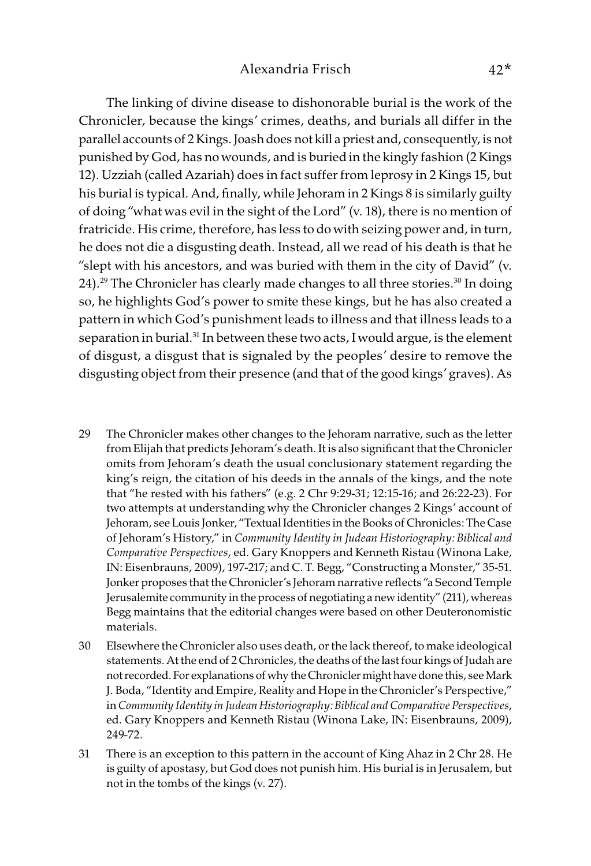The linking of divine disease to dishonorable burial is the work of the Chronicler, because the kings' crimes, deaths, and burials all differ in the parallel accounts of 2 Kings. Joash does not kill a priest and, consequently, is not punished by God, has no wounds, and is buried in the kingly fashion (2 Kings 12). Uzziah (called Azariah) does in fact suffer from leprosy in 2 Kings 15, but his burial is typical. And, finally, while Jehoram in 2 Kings 8 is similarly guilty of doing "what was evil in the sight of the Lord" (v. 18), there is no mention of fratricide. His crime, therefore, has less to do with seizing power and, in turn, he does not die a disgusting death. Instead, all we read of his death is that he "slept with his ancestors, and was buried with them in the city of David" (v. 24).<sup>29</sup> The Chronicler has clearly made changes to all three stories.<sup>30</sup> In doing so, he highlights God's power to smite these kings, but he has also created a pattern in which God's punishment leads to illness and that illness leads to a separation in burial.<sup>31</sup> In between these two acts, I would argue, is the element of disgust, a disgust that is signaled by the peoples' desire to remove the disgusting object from their presence (and that of the good kings' graves). As

- 29 The Chronicler makes other changes to the Jehoram narrative, such as the letter from Elijah that predicts Jehoram's death. It is also significant that the Chronicler omits from Jehoram's death the usual conclusionary statement regarding the king's reign, the citation of his deeds in the annals of the kings, and the note that "he rested with his fathers" (e.g. 2 Chr 9:29-31; 12:15-16; and 26:22-23). For two attempts at understanding why the Chronicler changes 2 Kings' account of Jehoram, see Louis Jonker, "Textual Identities in the Books of Chronicles: The Case of Jehoram's History," in Community Identity in Judean Historiography: Biblical and Comparative Perspectives, ed. Gary Knoppers and Kenneth Ristau (Winona Lake, IN: Eisenbrauns, 2009), 197-217; and C. T. Begg, "Constructing a Monster," 35-51. Jonker proposes that the Chronicler's Jehoram narrative reflects "a Second Temple Jerusalemite community in the process of negotiating a new identity" (211), whereas Begg maintains that the editorial changes were based on other Deuteronomistic materials.
- 30 Elsewhere the Chronicler also uses death, or the lack thereof, to make ideological statements. At the end of 2 Chronicles, the deaths of the last four kings of Judah are not recorded. For explanations of why the Chronicler might have done this, see Mark J. Boda, "Identity and Empire, Reality and Hope in the Chronicler's Perspective," in Community Identity in Judean Historiography: Biblical and Comparative Perspectives, ed. Gary Knoppers and Kenneth Ristau (Winona Lake, IN: Eisenbrauns, 2009), 249-72.
- 31 There is an exception to this pattern in the account of King Ahaz in 2 Chr 28. He is guilty of apostasy, but God does not punish him. His burial is in Jerusalem, but not in the tombs of the kings (v. 27).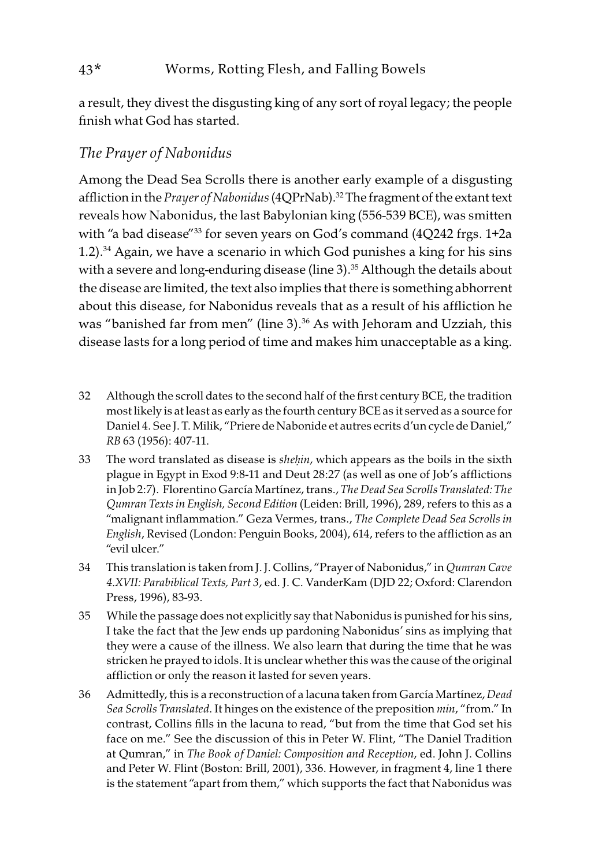a result, they divest the disgusting king of any sort of royal legacy; the people finish what God has started.

## The Prayer of Nabonidus

Among the Dead Sea Scrolls there is another early example of a disgusting affliction in the Prayer of Nabonidus (4QPrNab).<sup>32</sup> The fragment of the extant text reveals how Nabonidus, the last Babylonian king (556-539 BCE), was smitten with "a bad disease"<sup>33</sup> for seven years on God's command (4Q242 frgs. 1+2a) 1.2).<sup>34</sup> Again, we have a scenario in which God punishes a king for his sins with a severe and long-enduring disease (line 3).<sup>35</sup> Although the details about the disease are limited, the text also implies that there is something abhorrent about this disease, for Nabonidus reveals that as a result of his affliction he was "banished far from men" (line 3).<sup>36</sup> As with Jehoram and Uzziah, this disease lasts for a long period of time and makes him unacceptable as a king.

- 32 Although the scroll dates to the second half of the first century BCE, the tradition most likely is at least as early as the fourth century BCE as it served as a source for Daniel 4. See J. T. Milik, "Priere de Nabonide et autres ecrits d'un cycle de Daniel," RB 63 (1956): 407-11.
- 33 The word translated as disease is she*ḥ*in, which appears as the boils in the sixth plague in Egypt in Exod 9:8-11 and Deut 28:27 (as well as one of Job's afflictions in Job 2:7). Florentino García Martínez, trans., The Dead Sea Scrolls Translated: The Qumran Texts in English, Second Edition (Leiden: Brill, 1996), 289, refers to this as a "malignant inflammation." Geza Vermes, trans., The Complete Dead Sea Scrolls in English, Revised (London: Penguin Books, 2004), 614, refers to the affliction as an "evil ulcer."
- 34 This translation is taken from J. J. Collins, "Prayer of Nabonidus," in Qumran Cave 4.XVII: Parabiblical Texts, Part 3, ed. J. C. VanderKam (DJD 22; Oxford: Clarendon Press, 1996), 83-93.
- 35 While the passage does not explicitly say that Nabonidus is punished for his sins, I take the fact that the Jew ends up pardoning Nabonidus' sins as implying that they were a cause of the illness. We also learn that during the time that he was stricken he prayed to idols. It is unclear whether this was the cause of the original affliction or only the reason it lasted for seven years.
- 36 Admittedly, this is a reconstruction of a lacuna taken from García Martínez, Dead Sea Scrolls Translated. It hinges on the existence of the preposition min, "from." In contrast, Collins fills in the lacuna to read, "but from the time that God set his face on me." See the discussion of this in Peter W. Flint, "The Daniel Tradition at Qumran," in The Book of Daniel: Composition and Reception, ed. John J. Collins and Peter W. Flint (Boston: Brill, 2001), 336. However, in fragment 4, line 1 there is the statement "apart from them," which supports the fact that Nabonidus was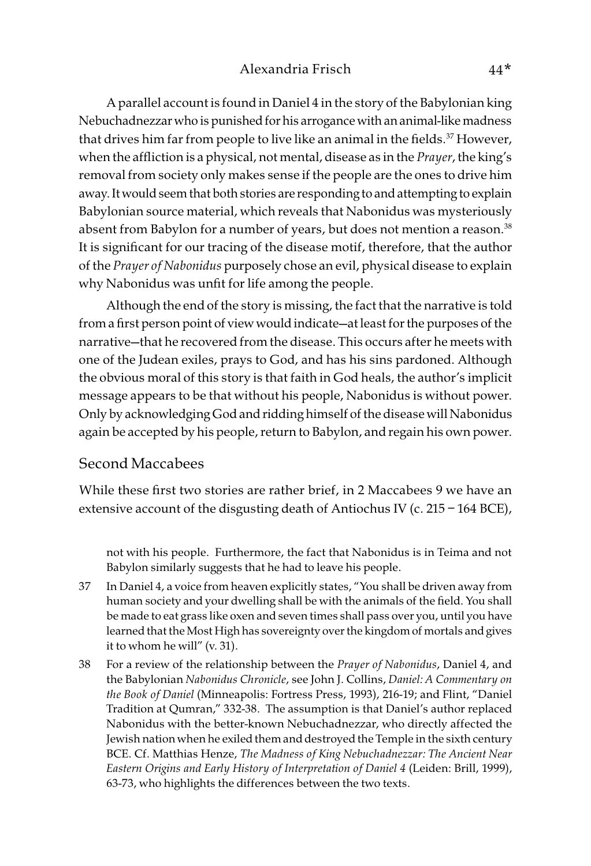A parallel account is found in Daniel 4 in the story of the Babylonian king Nebuchadnezzar who is punished for his arrogance with an animal-like madness that drives him far from people to live like an animal in the fields.<sup>37</sup> However, when the affliction is a physical, not mental, disease as in the *Prayer*, the king's removal from society only makes sense if the people are the ones to drive him away. It would seem that both stories are responding to and attempting to explain Babylonian source material, which reveals that Nabonidus was mysteriously absent from Babylon for a number of years, but does not mention a reason.<sup>38</sup> It is significant for our tracing of the disease motif, therefore, that the author of the Prayer of Nabonidus purposely chose an evil, physical disease to explain why Nabonidus was unfit for life among the people.

Although the end of the story is missing, the fact that the narrative is told from a first person point of view would indicate—at least for the purposes of the narrative—that he recovered from the disease. This occurs after he meets with one of the Judean exiles, prays to God, and has his sins pardoned. Although the obvious moral of this story is that faith in God heals, the author's implicit message appears to be that without his people, Nabonidus is without power. Only by acknowledging God and ridding himself of the disease will Nabonidus again be accepted by his people, return to Babylon, and regain his own power.

#### Second Maccabees

While these first two stories are rather brief, in 2 Maccabees 9 we have an extensive account of the disgusting death of Antiochus IV (c. 215 – 164 BCE),

not with his people. Furthermore, the fact that Nabonidus is in Teima and not Babylon similarly suggests that he had to leave his people.

- 37 In Daniel 4, a voice from heaven explicitly states, "You shall be driven away from human society and your dwelling shall be with the animals of the field. You shall be made to eat grass like oxen and seven times shall pass over you, until you have learned that the Most High has sovereignty over the kingdom of mortals and gives it to whom he will" (v. 31).
- 38 For a review of the relationship between the Prayer of Nabonidus, Daniel 4, and the Babylonian Nabonidus Chronicle, see John J. Collins, Daniel: A Commentary on the Book of Daniel (Minneapolis: Fortress Press, 1993), 216-19; and Flint, "Daniel Tradition at Qumran," 332-38. The assumption is that Daniel's author replaced Nabonidus with the better-known Nebuchadnezzar, who directly affected the Jewish nation when he exiled them and destroyed the Temple in the sixth century BCE. Cf. Matthias Henze, The Madness of King Nebuchadnezzar: The Ancient Near Eastern Origins and Early History of Interpretation of Daniel 4 (Leiden: Brill, 1999), 63-73, who highlights the differences between the two texts.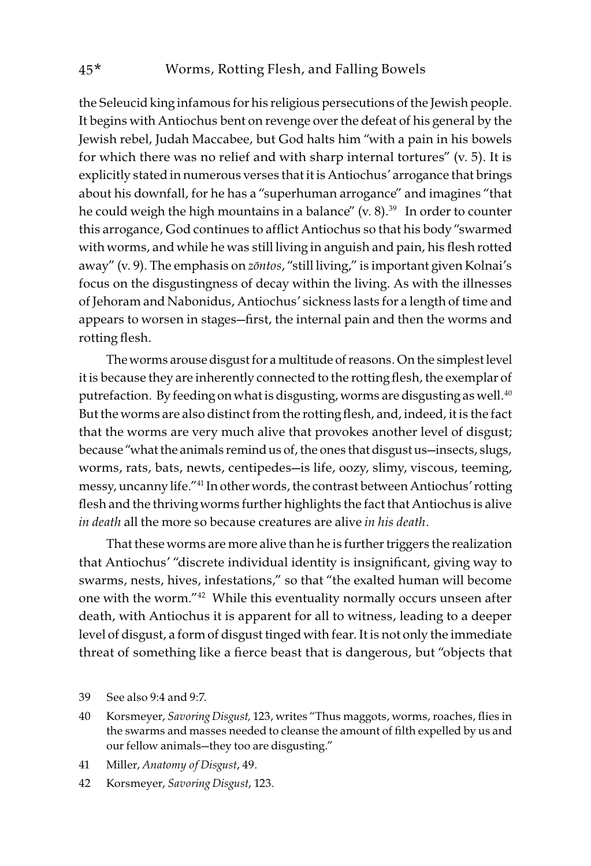the Seleucid king infamous for his religious persecutions of the Jewish people. It begins with Antiochus bent on revenge over the defeat of his general by the Jewish rebel, Judah Maccabee, but God halts him "with a pain in his bowels for which there was no relief and with sharp internal tortures" (v. 5). It is explicitly stated in numerous verses that it is Antiochus' arrogance that brings about his downfall, for he has a "superhuman arrogance" and imagines "that he could weigh the high mountains in a balance"  $(v, 8)$ .<sup>39</sup> In order to counter this arrogance, God continues to afflict Antiochus so that his body "swarmed with worms, and while he was still living in anguish and pain, his flesh rotted away" (v. 9). The emphasis on z*ō*ntos, "still living," is important given Kolnai's focus on the disgustingness of decay within the living. As with the illnesses of Jehoram and Nabonidus, Antiochus' sickness lasts for a length of time and appears to worsen in stages—first, the internal pain and then the worms and rotting flesh.

The worms arouse disgust for a multitude of reasons. On the simplest level it is because they are inherently connected to the rotting flesh, the exemplar of putrefaction. By feeding on what is disgusting, worms are disgusting as well.<sup>40</sup> But the worms are also distinct from the rotting flesh, and, indeed, it is the fact that the worms are very much alive that provokes another level of disgust; because "what the animals remind us of, the ones that disgust us—insects, slugs, worms, rats, bats, newts, centipedes—is life, oozy, slimy, viscous, teeming, messy, uncanny life."41 In other words, the contrast between Antiochus' rotting flesh and the thriving worms further highlights the fact that Antiochus is alive in death all the more so because creatures are alive in his death.

That these worms are more alive than he is further triggers the realization that Antiochus' "discrete individual identity is insignificant, giving way to swarms, nests, hives, infestations," so that "the exalted human will become one with the worm."42 While this eventuality normally occurs unseen after death, with Antiochus it is apparent for all to witness, leading to a deeper level of disgust, a form of disgust tinged with fear. It is not only the immediate threat of something like a fierce beast that is dangerous, but "objects that

- 40 Korsmeyer, Savoring Disgust, 123, writes "Thus maggots, worms, roaches, flies in the swarms and masses needed to cleanse the amount of filth expelled by us and our fellow animals—they too are disgusting."
- 41 Miller, Anatomy of Disgust, 49.
- 42 Korsmeyer, Savoring Disgust, 123.

<sup>39</sup> See also 9:4 and 9:7.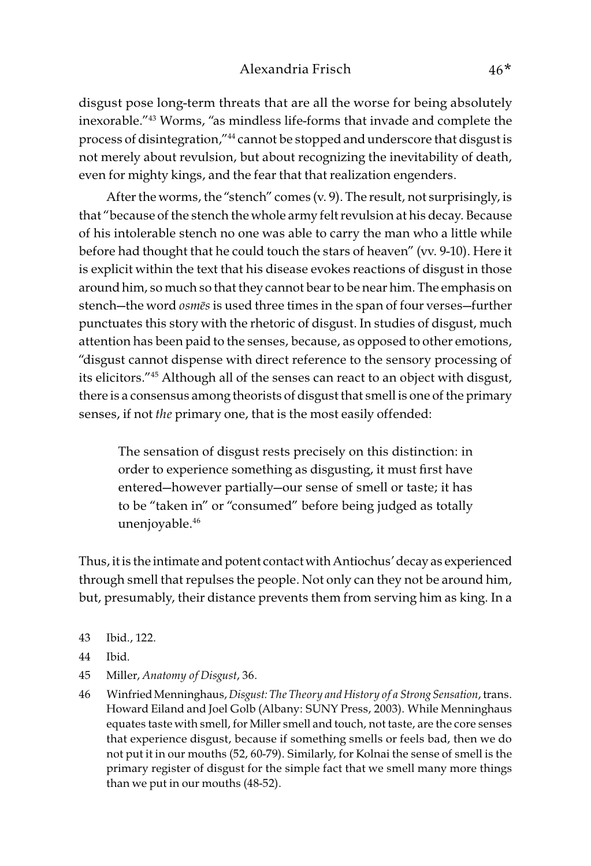disgust pose long-term threats that are all the worse for being absolutely inexorable."43 Worms, "as mindless life-forms that invade and complete the process of disintegration,"44 cannot be stopped and underscore that disgust is not merely about revulsion, but about recognizing the inevitability of death, even for mighty kings, and the fear that that realization engenders.

After the worms, the "stench" comes (v. 9). The result, not surprisingly, is that "because of the stench the whole army felt revulsion at his decay. Because of his intolerable stench no one was able to carry the man who a little while before had thought that he could touch the stars of heaven" (vv. 9-10). Here it is explicit within the text that his disease evokes reactions of disgust in those around him, so much so that they cannot bear to be near him. The emphasis on stench—the word osm*ē*s is used three times in the span of four verses—further punctuates this story with the rhetoric of disgust. In studies of disgust, much attention has been paid to the senses, because, as opposed to other emotions, "disgust cannot dispense with direct reference to the sensory processing of its elicitors."45 Although all of the senses can react to an object with disgust, there is a consensus among theorists of disgust that smell is one of the primary senses, if not the primary one, that is the most easily offended:

The sensation of disgust rests precisely on this distinction: in order to experience something as disgusting, it must first have entered—however partially—our sense of smell or taste; it has to be "taken in" or "consumed" before being judged as totally unenjoyable.46

Thus, it is the intimate and potent contact with Antiochus' decay as experienced through smell that repulses the people. Not only can they not be around him, but, presumably, their distance prevents them from serving him as king. In a

- 43 Ibid., 122.
- 44 Ibid.
- 45 Miller, Anatomy of Disgust, 36.
- 46 Winfried Menninghaus, Disgust: The Theory and History of a Strong Sensation, trans. Howard Eiland and Joel Golb (Albany: SUNY Press, 2003). While Menninghaus equates taste with smell, for Miller smell and touch, not taste, are the core senses that experience disgust, because if something smells or feels bad, then we do not put it in our mouths (52, 60-79). Similarly, for Kolnai the sense of smell is the primary register of disgust for the simple fact that we smell many more things than we put in our mouths (48-52).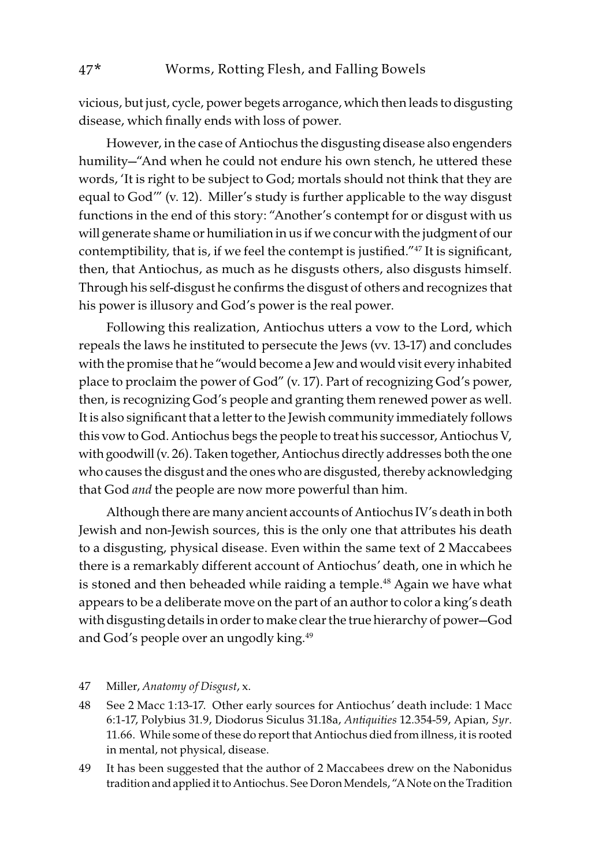vicious, but just, cycle, power begets arrogance, which then leads to disgusting disease, which finally ends with loss of power.

However, in the case of Antiochus the disgusting disease also engenders humility—"And when he could not endure his own stench, he uttered these words, 'It is right to be subject to God; mortals should not think that they are equal to God'" (v. 12). Miller's study is further applicable to the way disgust functions in the end of this story: "Another's contempt for or disgust with us will generate shame or humiliation in us if we concur with the judgment of our contemptibility, that is, if we feel the contempt is justified."47 It is significant, then, that Antiochus, as much as he disgusts others, also disgusts himself. Through his self-disgust he confirms the disgust of others and recognizes that his power is illusory and God's power is the real power.

Following this realization, Antiochus utters a vow to the Lord, which repeals the laws he instituted to persecute the Jews (vv. 13-17) and concludes with the promise that he "would become a Jew and would visit every inhabited place to proclaim the power of God" (v. 17). Part of recognizing God's power, then, is recognizing God's people and granting them renewed power as well. It is also significant that a letter to the Jewish community immediately follows this vow to God. Antiochus begs the people to treat his successor, Antiochus V, with goodwill (v. 26). Taken together, Antiochus directly addresses both the one who causes the disgust and the ones who are disgusted, thereby acknowledging that God and the people are now more powerful than him.

Although there are many ancient accounts of Antiochus IV's death in both Jewish and non-Jewish sources, this is the only one that attributes his death to a disgusting, physical disease. Even within the same text of 2 Maccabees there is a remarkably different account of Antiochus' death, one in which he is stoned and then beheaded while raiding a temple.<sup>48</sup> Again we have what appears to be a deliberate move on the part of an author to color a king's death with disgusting details in order to make clear the true hierarchy of power—God and God's people over an ungodly king.<sup>49</sup>

47 Miller, Anatomy of Disgust, x.

- 48 See 2 Macc 1:13-17. Other early sources for Antiochus' death include: 1 Macc 6:1-17, Polybius 31.9, Diodorus Siculus 31.18a, Antiquities 12.354-59, Apian, Syr. 11.66. While some of these do report that Antiochus died from illness, it is rooted in mental, not physical, disease.
- 49 It has been suggested that the author of 2 Maccabees drew on the Nabonidus tradition and applied it to Antiochus. See Doron Mendels, "A Note on the Tradition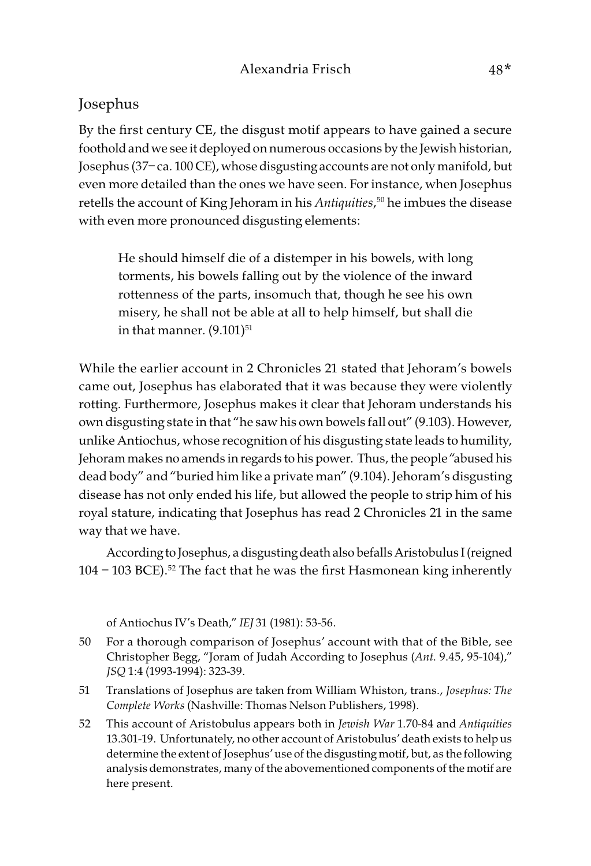#### Josephus

By the first century CE, the disgust motif appears to have gained a secure foothold and we see it deployed on numerous occasions by the Jewish historian, Josephus (37– ca. 100 CE), whose disgusting accounts are not only manifold, but even more detailed than the ones we have seen. For instance, when Josephus retells the account of King Jehoram in his Antiquities, 50 he imbues the disease with even more pronounced disgusting elements:

He should himself die of a distemper in his bowels, with long torments, his bowels falling out by the violence of the inward rottenness of the parts, insomuch that, though he see his own misery, he shall not be able at all to help himself, but shall die in that manner.  $(9.101)^{51}$ 

While the earlier account in 2 Chronicles 21 stated that Jehoram's bowels came out, Josephus has elaborated that it was because they were violently rotting. Furthermore, Josephus makes it clear that Jehoram understands his own disgusting state in that "he saw his own bowels fall out" (9.103). However, unlike Antiochus, whose recognition of his disgusting state leads to humility, Jehoram makes no amends in regards to his power. Thus, the people "abused his dead body" and "buried him like a private man" (9.104). Jehoram's disgusting disease has not only ended his life, but allowed the people to strip him of his royal stature, indicating that Josephus has read 2 Chronicles 21 in the same way that we have.

According to Josephus, a disgusting death also befalls Aristobulus I (reigned  $104 - 103$  BCE).<sup>52</sup> The fact that he was the first Hasmonean king inherently

of Antiochus IV's Death," IEJ 31 (1981): 53-56.

- 50 For a thorough comparison of Josephus' account with that of the Bible, see Christopher Begg, "Joram of Judah According to Josephus (Ant. 9.45, 95-104)," JSQ 1:4 (1993-1994): 323-39.
- 51 Translations of Josephus are taken from William Whiston, trans., Josephus: The Complete Works (Nashville: Thomas Nelson Publishers, 1998).
- 52 This account of Aristobulus appears both in Jewish War 1.70-84 and Antiquities 13.301-19. Unfortunately, no other account of Aristobulus' death exists to help us determine the extent of Josephus' use of the disgusting motif, but, as the following analysis demonstrates, many of the abovementioned components of the motif are here present.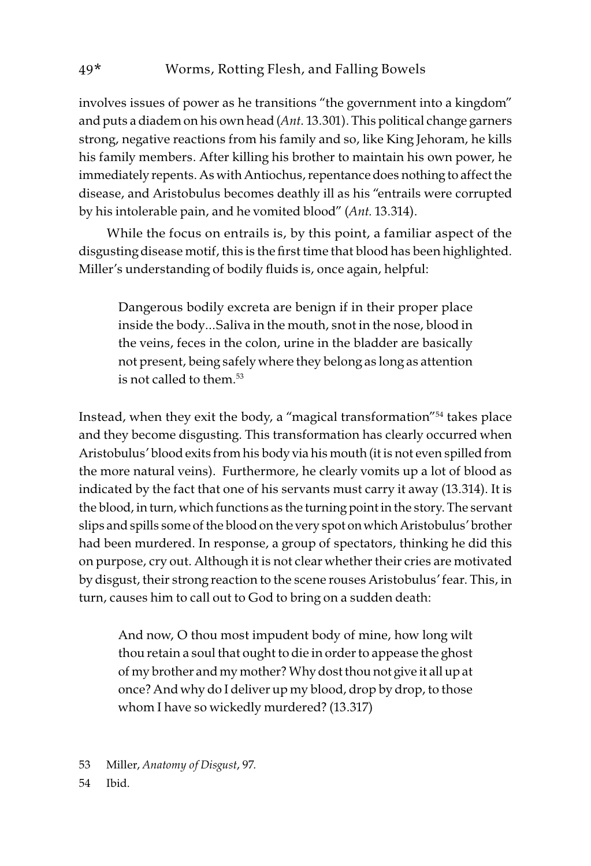involves issues of power as he transitions "the government into a kingdom" and puts a diadem on his own head (Ant. 13.301). This political change garners strong, negative reactions from his family and so, like King Jehoram, he kills his family members. After killing his brother to maintain his own power, he immediately repents. As with Antiochus, repentance does nothing to affect the disease, and Aristobulus becomes deathly ill as his "entrails were corrupted by his intolerable pain, and he vomited blood" (Ant. 13.314).

While the focus on entrails is, by this point, a familiar aspect of the disgusting disease motif, this is the first time that blood has been highlighted. Miller's understanding of bodily fluids is, once again, helpful:

Dangerous bodily excreta are benign if in their proper place inside the body…Saliva in the mouth, snot in the nose, blood in the veins, feces in the colon, urine in the bladder are basically not present, being safely where they belong as long as attention is not called to them.53

Instead, when they exit the body, a "magical transformation"54 takes place and they become disgusting. This transformation has clearly occurred when Aristobulus' blood exits from his body via his mouth (it is not even spilled from the more natural veins). Furthermore, he clearly vomits up a lot of blood as indicated by the fact that one of his servants must carry it away (13.314). It is the blood, in turn, which functions as the turning point in the story. The servant slips and spills some of the blood on the very spot on which Aristobulus' brother had been murdered. In response, a group of spectators, thinking he did this on purpose, cry out. Although it is not clear whether their cries are motivated by disgust, their strong reaction to the scene rouses Aristobulus' fear. This, in turn, causes him to call out to God to bring on a sudden death:

And now, O thou most impudent body of mine, how long wilt thou retain a soul that ought to die in order to appease the ghost of my brother and my mother? Why dost thou not give it all up at once? And why do I deliver up my blood, drop by drop, to those whom I have so wickedly murdered? (13.317)

- 53 Miller, Anatomy of Disgust, 97.
- 54 Ibid.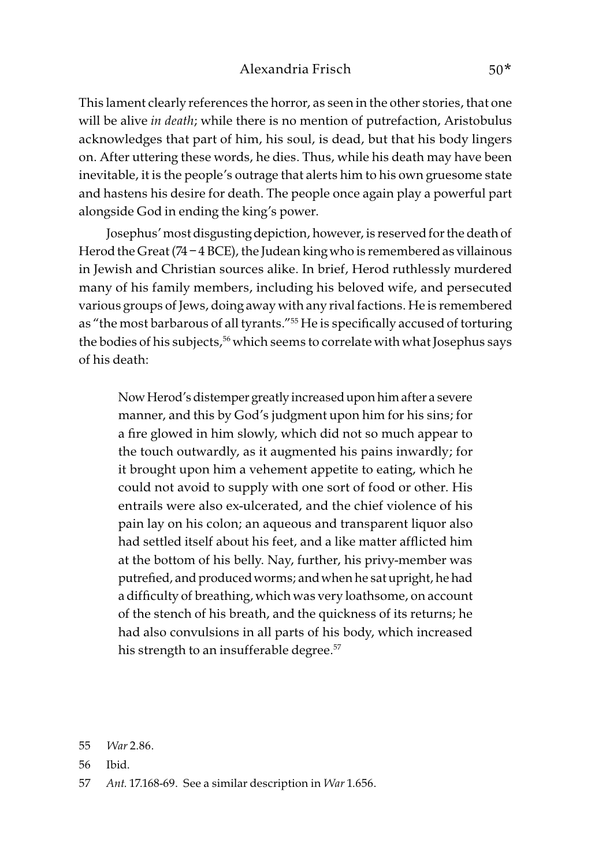This lament clearly references the horror, as seen in the other stories, that one will be alive in death; while there is no mention of putrefaction, Aristobulus acknowledges that part of him, his soul, is dead, but that his body lingers on. After uttering these words, he dies. Thus, while his death may have been inevitable, it is the people's outrage that alerts him to his own gruesome state and hastens his desire for death. The people once again play a powerful part alongside God in ending the king's power.

Josephus' most disgusting depiction, however, is reserved for the death of Herod the Great (74 – 4 BCE), the Judean king who is remembered as villainous in Jewish and Christian sources alike. In brief, Herod ruthlessly murdered many of his family members, including his beloved wife, and persecuted various groups of Jews, doing away with any rival factions. He is remembered as "the most barbarous of all tyrants."<sup>55</sup> He is specifically accused of torturing the bodies of his subjects,<sup>56</sup> which seems to correlate with what Josephus says of his death:

Now Herod's distemper greatly increased upon him after a severe manner, and this by God's judgment upon him for his sins; for a fire glowed in him slowly, which did not so much appear to the touch outwardly, as it augmented his pains inwardly; for it brought upon him a vehement appetite to eating, which he could not avoid to supply with one sort of food or other. His entrails were also ex-ulcerated, and the chief violence of his pain lay on his colon; an aqueous and transparent liquor also had settled itself about his feet, and a like matter afflicted him at the bottom of his belly. Nay, further, his privy-member was putrefied, and produced worms; and when he sat upright, he had a difficulty of breathing, which was very loathsome, on account of the stench of his breath, and the quickness of its returns; he had also convulsions in all parts of his body, which increased his strength to an insufferable degree.<sup>57</sup>

<sup>55</sup> War 2.86.

<sup>56</sup> Ibid.

<sup>57</sup> Ant. 17.168-69. See a similar description in War 1.656.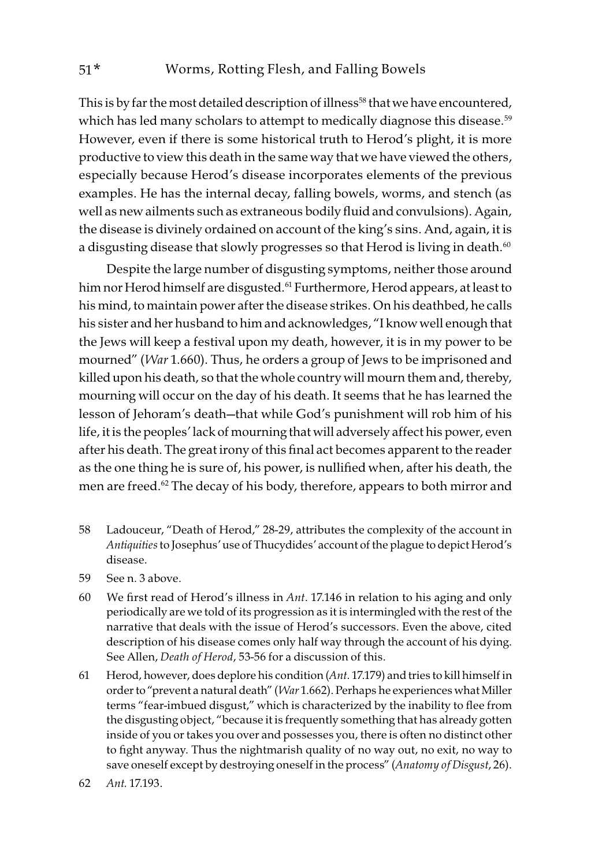This is by far the most detailed description of illness<sup>58</sup> that we have encountered, which has led many scholars to attempt to medically diagnose this disease.<sup>59</sup> However, even if there is some historical truth to Herod's plight, it is more productive to view this death in the same way that we have viewed the others, especially because Herod's disease incorporates elements of the previous examples. He has the internal decay, falling bowels, worms, and stench (as well as new ailments such as extraneous bodily fluid and convulsions). Again, the disease is divinely ordained on account of the king's sins. And, again, it is a disgusting disease that slowly progresses so that Herod is living in death.<sup>60</sup>

Despite the large number of disgusting symptoms, neither those around him nor Herod himself are disgusted.<sup>61</sup> Furthermore, Herod appears, at least to his mind, to maintain power after the disease strikes. On his deathbed, he calls his sister and her husband to him and acknowledges, "I know well enough that the Jews will keep a festival upon my death, however, it is in my power to be mourned" (War 1.660). Thus, he orders a group of Jews to be imprisoned and killed upon his death, so that the whole country will mourn them and, thereby, mourning will occur on the day of his death. It seems that he has learned the lesson of Jehoram's death—that while God's punishment will rob him of his life, it is the peoples' lack of mourning that will adversely affect his power, even after his death. The great irony of this final act becomes apparent to the reader as the one thing he is sure of, his power, is nullified when, after his death, the men are freed.<sup>62</sup> The decay of his body, therefore, appears to both mirror and

- 58 Ladouceur, "Death of Herod," 28-29, attributes the complexity of the account in Antiquities to Josephus' use of Thucydides' account of the plague to depict Herod's disease.
- 59 See n. 3 above.
- 60 We first read of Herod's illness in Ant. 17.146 in relation to his aging and only periodically are we told of its progression as it is intermingled with the rest of the narrative that deals with the issue of Herod's successors. Even the above, cited description of his disease comes only half way through the account of his dying. See Allen, Death of Herod, 53-56 for a discussion of this.
- 61 Herod, however, does deplore his condition  $(Ant. 17.179)$  and tries to kill himself in order to "prevent a natural death" (War 1.662). Perhaps he experiences what Miller terms "fear-imbued disgust," which is characterized by the inability to flee from the disgusting object, "because it is frequently something that has already gotten inside of you or takes you over and possesses you, there is often no distinct other to fight anyway. Thus the nightmarish quality of no way out, no exit, no way to save oneself except by destroying oneself in the process" (Anatomy of Disgust, 26).
- 62 Ant. 17.193.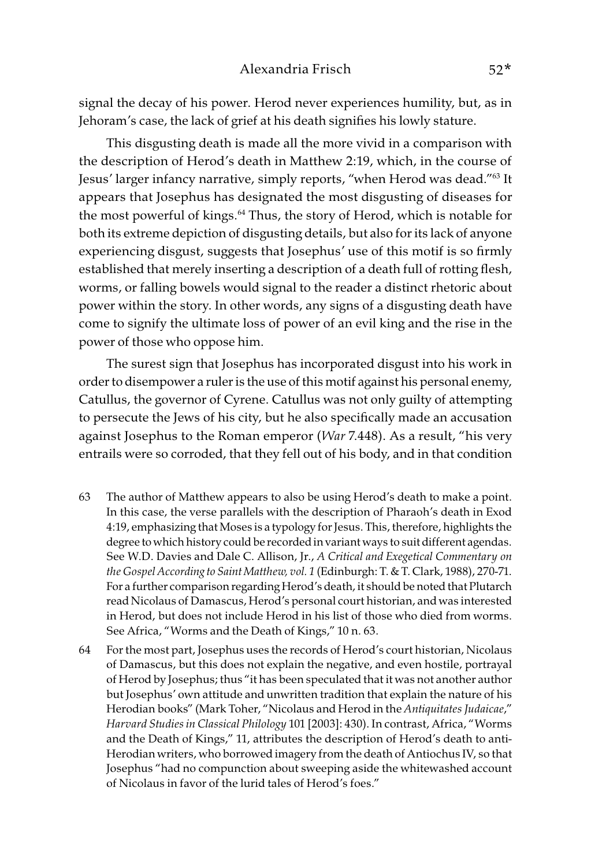signal the decay of his power. Herod never experiences humility, but, as in Jehoram's case, the lack of grief at his death signifies his lowly stature.

This disgusting death is made all the more vivid in a comparison with the description of Herod's death in Matthew 2:19, which, in the course of Jesus' larger infancy narrative, simply reports, "when Herod was dead."63 It appears that Josephus has designated the most disgusting of diseases for the most powerful of kings.<sup>64</sup> Thus, the story of Herod, which is notable for both its extreme depiction of disgusting details, but also for its lack of anyone experiencing disgust, suggests that Josephus' use of this motif is so firmly established that merely inserting a description of a death full of rotting flesh, worms, or falling bowels would signal to the reader a distinct rhetoric about power within the story. In other words, any signs of a disgusting death have come to signify the ultimate loss of power of an evil king and the rise in the power of those who oppose him.

The surest sign that Josephus has incorporated disgust into his work in order to disempower a ruler is the use of this motif against his personal enemy, Catullus, the governor of Cyrene. Catullus was not only guilty of attempting to persecute the Jews of his city, but he also specifically made an accusation against Josephus to the Roman emperor (War 7.448). As a result, "his very entrails were so corroded, that they fell out of his body, and in that condition

- 63 The author of Matthew appears to also be using Herod's death to make a point. In this case, the verse parallels with the description of Pharaoh's death in Exod 4:19, emphasizing that Moses is a typology for Jesus. This, therefore, highlights the degree to which history could be recorded in variant ways to suit different agendas. See W.D. Davies and Dale C. Allison, Jr., A Critical and Exegetical Commentary on the Gospel According to Saint Matthew, vol. 1 (Edinburgh: T. & T. Clark, 1988), 270-71. For a further comparison regarding Herod's death, it should be noted that Plutarch read Nicolaus of Damascus, Herod's personal court historian, and was interested in Herod, but does not include Herod in his list of those who died from worms. See Africa, "Worms and the Death of Kings," 10 n. 63.
- 64 For the most part, Josephus uses the records of Herod's court historian, Nicolaus of Damascus, but this does not explain the negative, and even hostile, portrayal of Herod by Josephus; thus "it has been speculated that it was not another author but Josephus' own attitude and unwritten tradition that explain the nature of his Herodian books" (Mark Toher, "Nicolaus and Herod in the Antiquitates Judaicae," Harvard Studies in Classical Philology 101 [2003]: 430). In contrast, Africa, "Worms and the Death of Kings," 11, attributes the description of Herod's death to anti-Herodian writers, who borrowed imagery from the death of Antiochus IV, so that Josephus "had no compunction about sweeping aside the whitewashed account of Nicolaus in favor of the lurid tales of Herod's foes."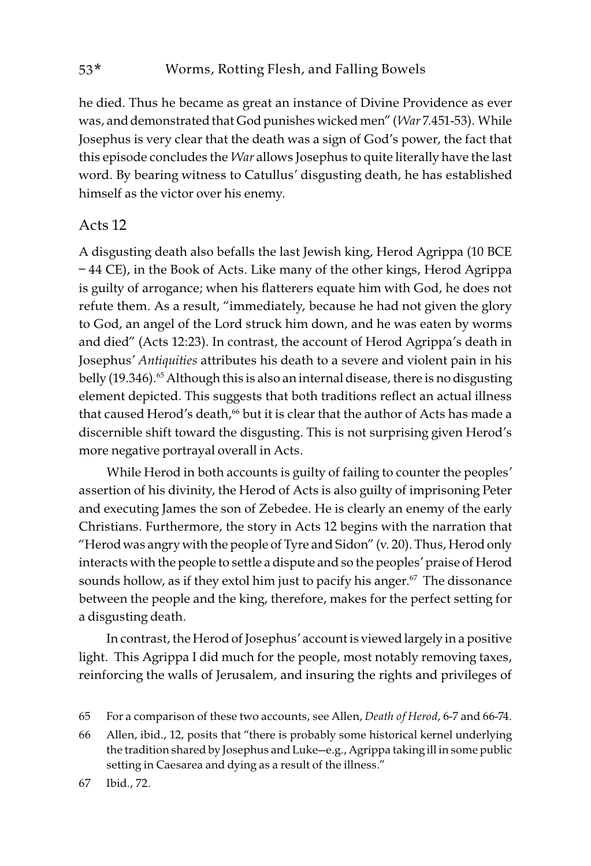he died. Thus he became as great an instance of Divine Providence as ever was, and demonstrated that God punishes wicked men" (War 7.451-53). While Josephus is very clear that the death was a sign of God's power, the fact that this episode concludes the War allows Josephus to quite literally have the last word. By bearing witness to Catullus' disgusting death, he has established himself as the victor over his enemy.

#### Acts 12

A disgusting death also befalls the last Jewish king, Herod Agrippa (10 BCE – 44 CE), in the Book of Acts. Like many of the other kings, Herod Agrippa is guilty of arrogance; when his flatterers equate him with God, he does not refute them. As a result, "immediately, because he had not given the glory to God, an angel of the Lord struck him down, and he was eaten by worms and died" (Acts 12:23). In contrast, the account of Herod Agrippa's death in Josephus' Antiquities attributes his death to a severe and violent pain in his belly (19.346).<sup>65</sup> Although this is also an internal disease, there is no disgusting element depicted. This suggests that both traditions reflect an actual illness that caused Herod's death,<sup>66</sup> but it is clear that the author of Acts has made a discernible shift toward the disgusting. This is not surprising given Herod's more negative portrayal overall in Acts.

While Herod in both accounts is guilty of failing to counter the peoples' assertion of his divinity, the Herod of Acts is also guilty of imprisoning Peter and executing James the son of Zebedee. He is clearly an enemy of the early Christians. Furthermore, the story in Acts 12 begins with the narration that "Herod was angry with the people of Tyre and Sidon" (v. 20). Thus, Herod only interacts with the people to settle a dispute and so the peoples' praise of Herod sounds hollow, as if they extol him just to pacify his anger.<sup>67</sup> The dissonance between the people and the king, therefore, makes for the perfect setting for a disgusting death.

In contrast, the Herod of Josephus' account is viewed largely in a positive light. This Agrippa I did much for the people, most notably removing taxes, reinforcing the walls of Jerusalem, and insuring the rights and privileges of

66 Allen, ibid., 12, posits that "there is probably some historical kernel underlying the tradition shared by Josephus and Luke—e.g., Agrippa taking ill in some public setting in Caesarea and dying as a result of the illness."

67 Ibid., 72.

<sup>65</sup> For a comparison of these two accounts, see Allen, Death of Herod, 6-7 and 66-74.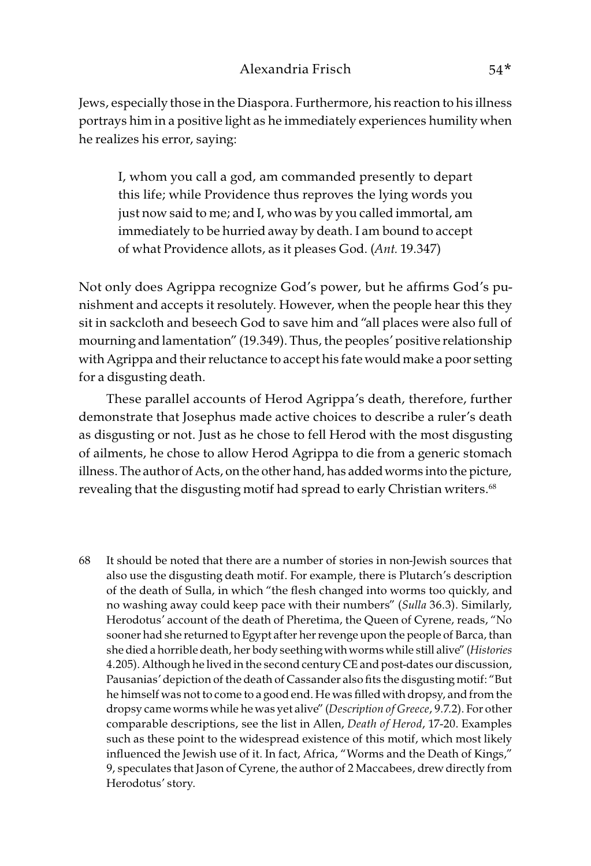Jews, especially those in the Diaspora. Furthermore, his reaction to his illness portrays him in a positive light as he immediately experiences humility when he realizes his error, saying:

I, whom you call a god, am commanded presently to depart this life; while Providence thus reproves the lying words you just now said to me; and I, who was by you called immortal, am immediately to be hurried away by death. I am bound to accept of what Providence allots, as it pleases God. (Ant. 19.347)

Not only does Agrippa recognize God's power, but he affirms God's punishment and accepts it resolutely. However, when the people hear this they sit in sackcloth and beseech God to save him and "all places were also full of mourning and lamentation" (19.349). Thus, the peoples' positive relationship with Agrippa and their reluctance to accept his fate would make a poor setting for a disgusting death.

These parallel accounts of Herod Agrippa's death, therefore, further demonstrate that Josephus made active choices to describe a ruler's death as disgusting or not. Just as he chose to fell Herod with the most disgusting of ailments, he chose to allow Herod Agrippa to die from a generic stomach illness. The author of Acts, on the other hand, has added worms into the picture, revealing that the disgusting motif had spread to early Christian writers.<sup>68</sup>

68 It should be noted that there are a number of stories in non-Jewish sources that also use the disgusting death motif. For example, there is Plutarch's description of the death of Sulla, in which "the flesh changed into worms too quickly, and no washing away could keep pace with their numbers" (Sulla 36.3). Similarly, Herodotus' account of the death of Pheretima, the Queen of Cyrene, reads, "No sooner had she returned to Egypt after her revenge upon the people of Barca, than she died a horrible death, her body seething with worms while still alive" (Histories 4.205). Although he lived in the second century CE and post-dates our discussion, Pausanias' depiction of the death of Cassander also fits the disgusting motif: "But he himself was not to come to a good end. He was filled with dropsy, and from the dropsy came worms while he was yet alive" (Description of Greece, 9.7.2). For other comparable descriptions, see the list in Allen, Death of Herod, 17-20. Examples such as these point to the widespread existence of this motif, which most likely influenced the Jewish use of it. In fact, Africa, "Worms and the Death of Kings," 9, speculates that Jason of Cyrene, the author of 2 Maccabees, drew directly from Herodotus' story.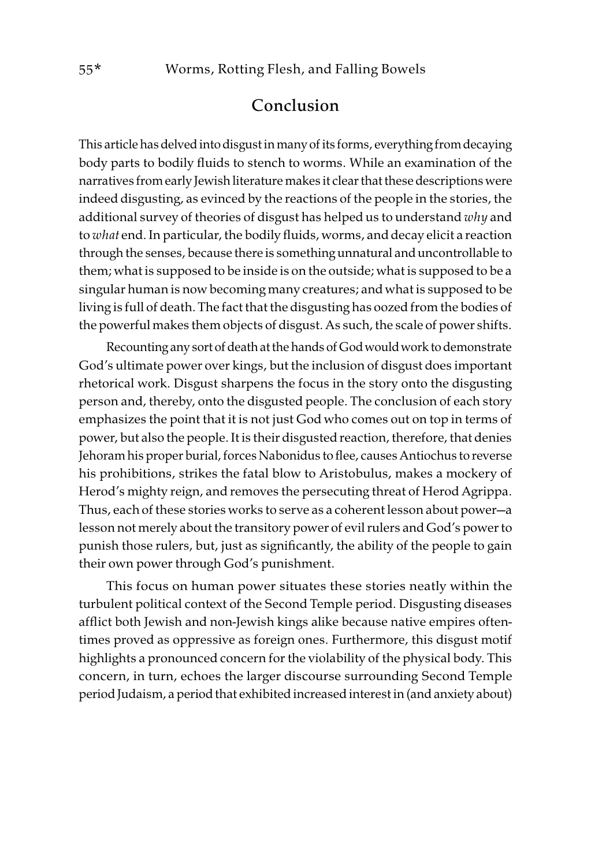# Conclusion

This article has delved into disgust in many of its forms, everything from decaying body parts to bodily fluids to stench to worms. While an examination of the narratives from early Jewish literature makes it clear that these descriptions were indeed disgusting, as evinced by the reactions of the people in the stories, the additional survey of theories of disgust has helped us to understand why and to what end. In particular, the bodily fluids, worms, and decay elicit a reaction through the senses, because there is something unnatural and uncontrollable to them; what is supposed to be inside is on the outside; what is supposed to be a singular human is now becoming many creatures; and what is supposed to be living is full of death. The fact that the disgusting has oozed from the bodies of the powerful makes them objects of disgust. As such, the scale of power shifts.

Recounting any sort of death at the hands of God would work to demonstrate God's ultimate power over kings, but the inclusion of disgust does important rhetorical work. Disgust sharpens the focus in the story onto the disgusting person and, thereby, onto the disgusted people. The conclusion of each story emphasizes the point that it is not just God who comes out on top in terms of power, but also the people. It is their disgusted reaction, therefore, that denies Jehoram his proper burial, forces Nabonidus to flee, causes Antiochus to reverse his prohibitions, strikes the fatal blow to Aristobulus, makes a mockery of Herod's mighty reign, and removes the persecuting threat of Herod Agrippa. Thus, each of these stories works to serve as a coherent lesson about power—a lesson not merely about the transitory power of evil rulers and God's power to punish those rulers, but, just as significantly, the ability of the people to gain their own power through God's punishment.

This focus on human power situates these stories neatly within the turbulent political context of the Second Temple period. Disgusting diseases afflict both Jewish and non-Jewish kings alike because native empires oftentimes proved as oppressive as foreign ones. Furthermore, this disgust motif highlights a pronounced concern for the violability of the physical body. This concern, in turn, echoes the larger discourse surrounding Second Temple period Judaism, a period that exhibited increased interest in (and anxiety about)